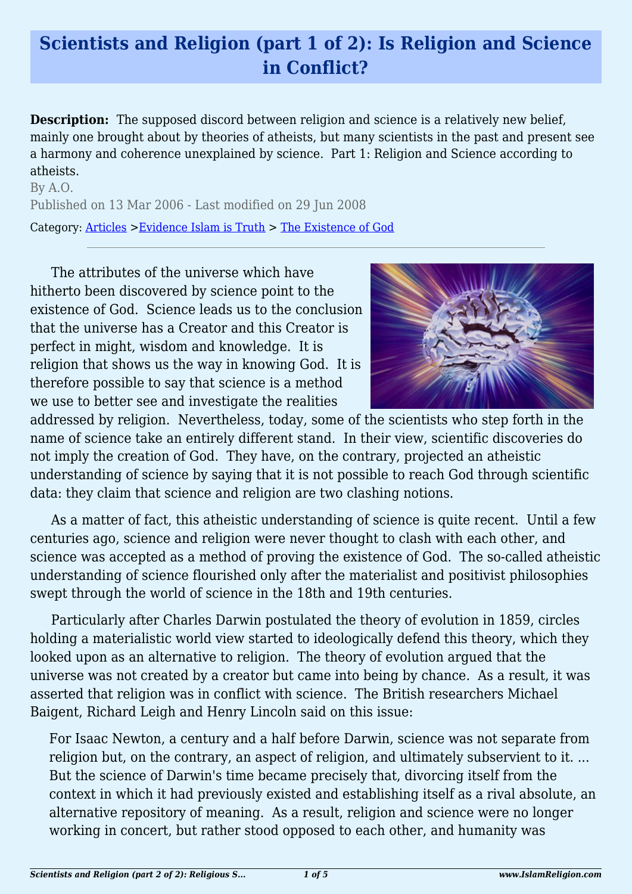## **Scientists and Religion (part 1 of 2): Is Religion and Science in Conflict?**

**Description:** The supposed discord between religion and science is a relatively new belief, mainly one brought about by theories of atheists, but many scientists in the past and present see a harmony and coherence unexplained by science. Part 1: Religion and Science according to atheists.

By A.O. Published on 13 Mar 2006 - Last modified on 29 Jun 2008 Category: [Articles](http://www.islamreligion.com/articles/) >[Evidence Islam is Truth](http://www.islamreligion.com/category/33/) > [The Existence of God](http://www.islamreligion.com/category/39/)

The attributes of the universe which have hitherto been discovered by science point to the existence of God. Science leads us to the conclusion that the universe has a Creator and this Creator is perfect in might, wisdom and knowledge. It is religion that shows us the way in knowing God. It is therefore possible to say that science is a method we use to better see and investigate the realities



addressed by religion. Nevertheless, today, some of the scientists who step forth in the name of science take an entirely different stand. In their view, scientific discoveries do not imply the creation of God. They have, on the contrary, projected an atheistic understanding of science by saying that it is not possible to reach God through scientific data: they claim that science and religion are two clashing notions.

As a matter of fact, this atheistic understanding of science is quite recent. Until a few centuries ago, science and religion were never thought to clash with each other, and science was accepted as a method of proving the existence of God. The so-called atheistic understanding of science flourished only after the materialist and positivist philosophies swept through the world of science in the 18th and 19th centuries.

Particularly after Charles Darwin postulated the theory of evolution in 1859, circles holding a materialistic world view started to ideologically defend this theory, which they looked upon as an alternative to religion. The theory of evolution argued that the universe was not created by a creator but came into being by chance. As a result, it was asserted that religion was in conflict with science. The British researchers Michael Baigent, Richard Leigh and Henry Lincoln said on this issue:

For Isaac Newton, a century and a half before Darwin, science was not separate from religion but, on the contrary, an aspect of religion, and ultimately subservient to it. ... But the science of Darwin's time became precisely that, divorcing itself from the context in which it had previously existed and establishing itself as a rival absolute, an alternative repository of meaning. As a result, religion and science were no longer working in concert, but rather stood opposed to each other, and humanity was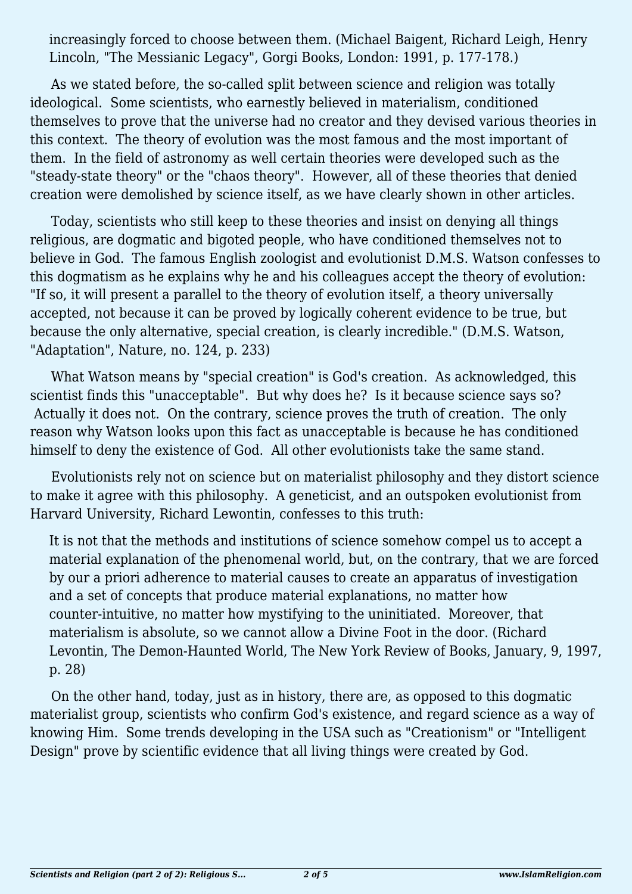increasingly forced to choose between them. (Michael Baigent, Richard Leigh, Henry Lincoln, "The Messianic Legacy", Gorgi Books, London: 1991, p. 177-178.)

As we stated before, the so-called split between science and religion was totally ideological. Some scientists, who earnestly believed in materialism, conditioned themselves to prove that the universe had no creator and they devised various theories in this context. The theory of evolution was the most famous and the most important of them. In the field of astronomy as well certain theories were developed such as the "steady-state theory" or the "chaos theory". However, all of these theories that denied creation were demolished by science itself, as we have clearly shown in other articles.

Today, scientists who still keep to these theories and insist on denying all things religious, are dogmatic and bigoted people, who have conditioned themselves not to believe in God. The famous English zoologist and evolutionist D.M.S. Watson confesses to this dogmatism as he explains why he and his colleagues accept the theory of evolution: "If so, it will present a parallel to the theory of evolution itself, a theory universally accepted, not because it can be proved by logically coherent evidence to be true, but because the only alternative, special creation, is clearly incredible." (D.M.S. Watson, "Adaptation", Nature, no. 124, p. 233)

What Watson means by "special creation" is God's creation. As acknowledged, this scientist finds this "unacceptable". But why does he? Is it because science says so? Actually it does not. On the contrary, science proves the truth of creation. The only reason why Watson looks upon this fact as unacceptable is because he has conditioned himself to deny the existence of God. All other evolutionists take the same stand.

Evolutionists rely not on science but on materialist philosophy and they distort science to make it agree with this philosophy. A geneticist, and an outspoken evolutionist from Harvard University, Richard Lewontin, confesses to this truth:

It is not that the methods and institutions of science somehow compel us to accept a material explanation of the phenomenal world, but, on the contrary, that we are forced by our a priori adherence to material causes to create an apparatus of investigation and a set of concepts that produce material explanations, no matter how counter-intuitive, no matter how mystifying to the uninitiated. Moreover, that materialism is absolute, so we cannot allow a Divine Foot in the door. (Richard Levontin, The Demon-Haunted World, The New York Review of Books, January, 9, 1997, p. 28)

On the other hand, today, just as in history, there are, as opposed to this dogmatic materialist group, scientists who confirm God's existence, and regard science as a way of knowing Him. Some trends developing in the USA such as "Creationism" or "Intelligent Design" prove by scientific evidence that all living things were created by God.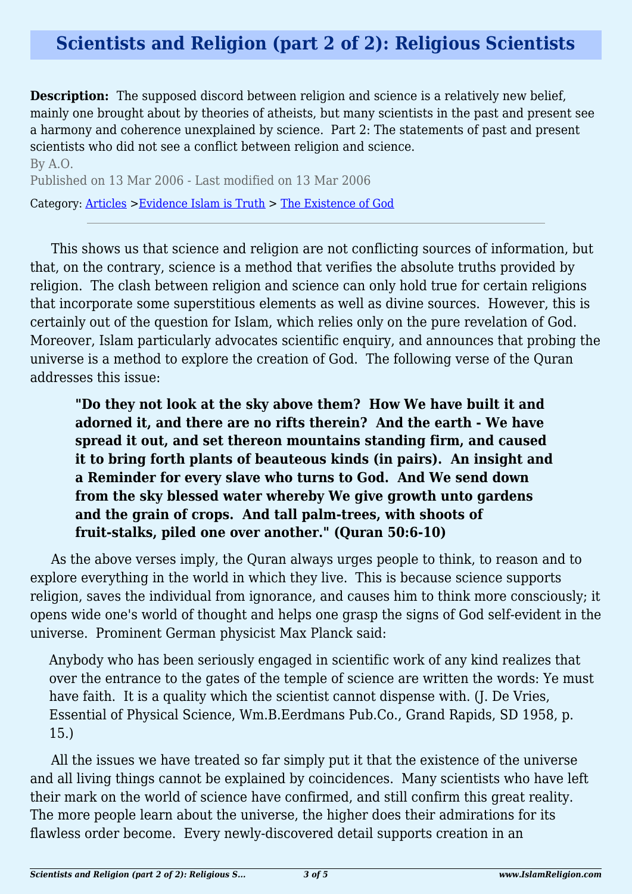## **Scientists and Religion (part 2 of 2): Religious Scientists**

**Description:** The supposed discord between religion and science is a relatively new belief, mainly one brought about by theories of atheists, but many scientists in the past and present see a harmony and coherence unexplained by science. Part 2: The statements of past and present scientists who did not see a conflict between religion and science.

By A.O. Published on 13 Mar 2006 - Last modified on 13 Mar 2006 Category: [Articles](http://www.islamreligion.com/articles/) >[Evidence Islam is Truth](http://www.islamreligion.com/category/33/) > [The Existence of God](http://www.islamreligion.com/category/39/)

This shows us that science and religion are not conflicting sources of information, but that, on the contrary, science is a method that verifies the absolute truths provided by religion. The clash between religion and science can only hold true for certain religions that incorporate some superstitious elements as well as divine sources. However, this is certainly out of the question for Islam, which relies only on the pure revelation of God. Moreover, Islam particularly advocates scientific enquiry, and announces that probing the universe is a method to explore the creation of God. The following verse of the Quran addresses this issue:

**"Do they not look at the sky above them? How We have built it and adorned it, and there are no rifts therein? And the earth - We have spread it out, and set thereon mountains standing firm, and caused it to bring forth plants of beauteous kinds (in pairs). An insight and a Reminder for every slave who turns to God. And We send down from the sky blessed water whereby We give growth unto gardens and the grain of crops. And tall palm-trees, with shoots of fruit-stalks, piled one over another." (Quran 50:6-10)**

As the above verses imply, the Quran always urges people to think, to reason and to explore everything in the world in which they live. This is because science supports religion, saves the individual from ignorance, and causes him to think more consciously; it opens wide one's world of thought and helps one grasp the signs of God self-evident in the universe. Prominent German physicist Max Planck said:

Anybody who has been seriously engaged in scientific work of any kind realizes that over the entrance to the gates of the temple of science are written the words: Ye must have faith. It is a quality which the scientist cannot dispense with. (J. De Vries, Essential of Physical Science, Wm.B.Eerdmans Pub.Co., Grand Rapids, SD 1958, p. 15.)

All the issues we have treated so far simply put it that the existence of the universe and all living things cannot be explained by coincidences. Many scientists who have left their mark on the world of science have confirmed, and still confirm this great reality. The more people learn about the universe, the higher does their admirations for its flawless order become. Every newly-discovered detail supports creation in an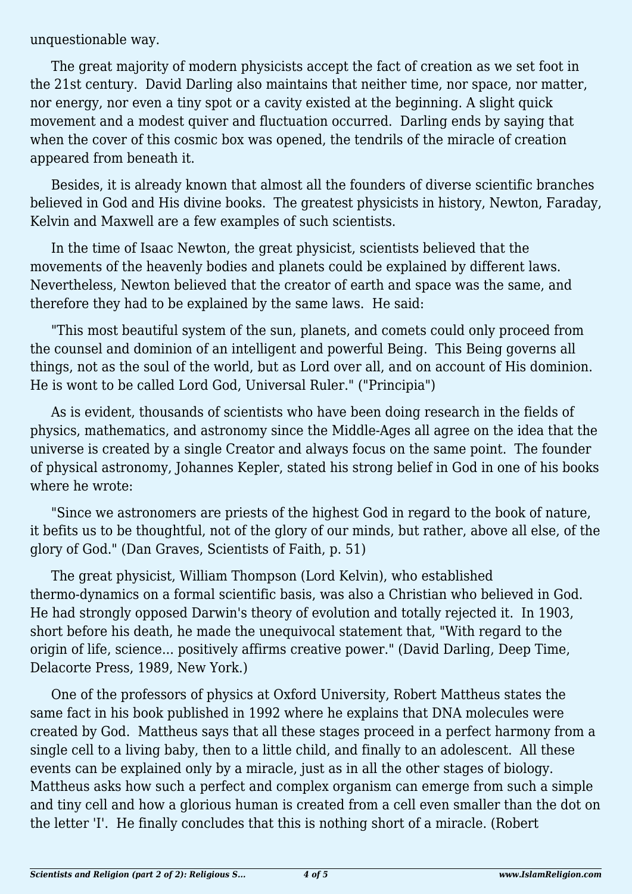unquestionable way.

The great majority of modern physicists accept the fact of creation as we set foot in the 21st century. David Darling also maintains that neither time, nor space, nor matter, nor energy, nor even a tiny spot or a cavity existed at the beginning. A slight quick movement and a modest quiver and fluctuation occurred. Darling ends by saying that when the cover of this cosmic box was opened, the tendrils of the miracle of creation appeared from beneath it.

Besides, it is already known that almost all the founders of diverse scientific branches believed in God and His divine books. The greatest physicists in history, Newton, Faraday, Kelvin and Maxwell are a few examples of such scientists.

In the time of Isaac Newton, the great physicist, scientists believed that the movements of the heavenly bodies and planets could be explained by different laws. Nevertheless, Newton believed that the creator of earth and space was the same, and therefore they had to be explained by the same laws. He said:

"This most beautiful system of the sun, planets, and comets could only proceed from the counsel and dominion of an intelligent and powerful Being. This Being governs all things, not as the soul of the world, but as Lord over all, and on account of His dominion. He is wont to be called Lord God, Universal Ruler." ("Principia")

As is evident, thousands of scientists who have been doing research in the fields of physics, mathematics, and astronomy since the Middle-Ages all agree on the idea that the universe is created by a single Creator and always focus on the same point. The founder of physical astronomy, Johannes Kepler, stated his strong belief in God in one of his books where he wrote:

"Since we astronomers are priests of the highest God in regard to the book of nature, it befits us to be thoughtful, not of the glory of our minds, but rather, above all else, of the glory of God." (Dan Graves, Scientists of Faith, p. 51)

The great physicist, William Thompson (Lord Kelvin), who established thermo-dynamics on a formal scientific basis, was also a Christian who believed in God. He had strongly opposed Darwin's theory of evolution and totally rejected it. In 1903, short before his death, he made the unequivocal statement that, "With regard to the origin of life, science... positively affirms creative power." (David Darling, Deep Time, Delacorte Press, 1989, New York.)

One of the professors of physics at Oxford University, Robert Mattheus states the same fact in his book published in 1992 where he explains that DNA molecules were created by God. Mattheus says that all these stages proceed in a perfect harmony from a single cell to a living baby, then to a little child, and finally to an adolescent. All these events can be explained only by a miracle, just as in all the other stages of biology. Mattheus asks how such a perfect and complex organism can emerge from such a simple and tiny cell and how a glorious human is created from a cell even smaller than the dot on the letter 'I'. He finally concludes that this is nothing short of a miracle. (Robert